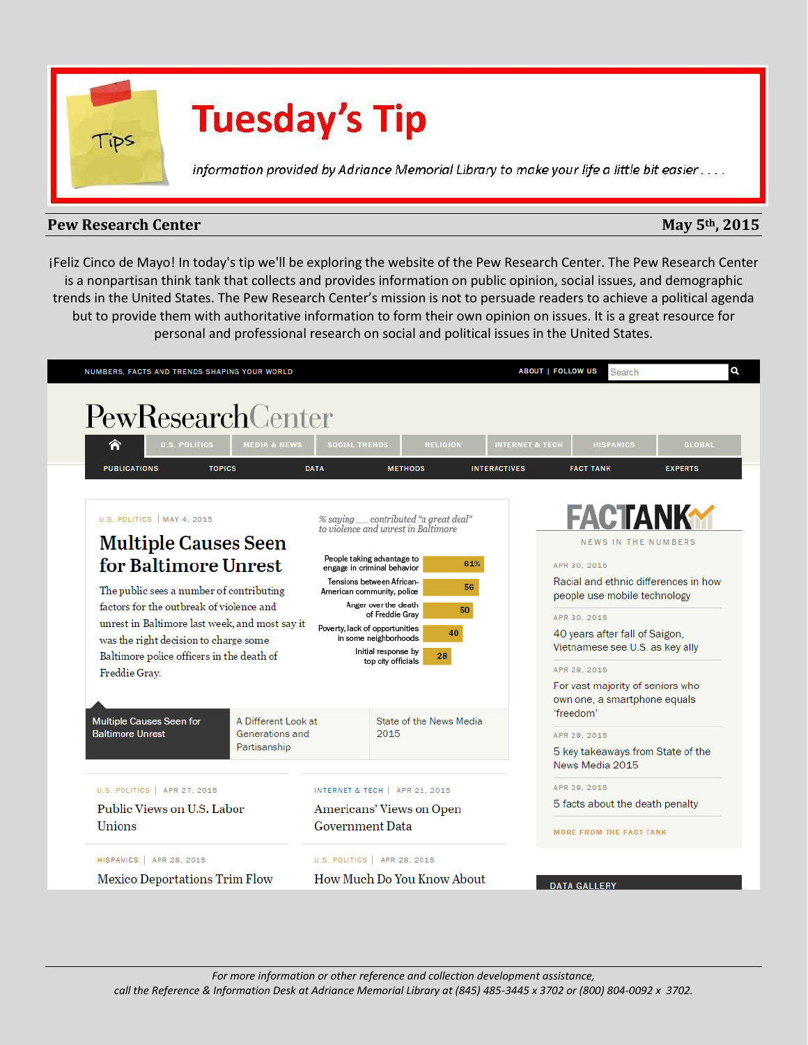

# **Tuesday's Tip**

information provided by Adriance Memorial Library to make your life a little bit easier....

## **Pew Research Center May 5<sup>th</sup>, 2015**

¡Feliz Cinco de Mayo! In today's tip we'll be exploring the website of the Pew Research Center. The Pew Research Center is a nonpartisan think tank that collects and provides information on public opinion, social issues, and demographic trends in the United States. The Pew Research Center's mission is not to persuade readers to achieve a political agenda but to provide them with authoritative information to form their own opinion on issues. It is a great resource for personal and professional research on social and political issues in the United States.

| PewResearchCenter                                                                                                                                                                                                                                                                                                                                                                             |                         |                                                                                                                                                                                                                                                                                                                                           |                |                                                                                                                                                                                                                                                                                                                                 |                                                                                                      |                            |                |
|-----------------------------------------------------------------------------------------------------------------------------------------------------------------------------------------------------------------------------------------------------------------------------------------------------------------------------------------------------------------------------------------------|-------------------------|-------------------------------------------------------------------------------------------------------------------------------------------------------------------------------------------------------------------------------------------------------------------------------------------------------------------------------------------|----------------|---------------------------------------------------------------------------------------------------------------------------------------------------------------------------------------------------------------------------------------------------------------------------------------------------------------------------------|------------------------------------------------------------------------------------------------------|----------------------------|----------------|
| Ѧ<br><b>U.S. POLITICS</b>                                                                                                                                                                                                                                                                                                                                                                     | <b>MEDIA &amp; NEWS</b> | <b>SOCIAL TRENDS</b>                                                                                                                                                                                                                                                                                                                      |                | <b>RELIGION</b>                                                                                                                                                                                                                                                                                                                 | <b>INTERNET &amp; TECH</b>                                                                           | <b>HISPANICS</b>           | <b>GLOBAL</b>  |
| <b>PUBLICATIONS</b><br><b>TOPICS</b>                                                                                                                                                                                                                                                                                                                                                          |                         | <b>DATA</b>                                                                                                                                                                                                                                                                                                                               | <b>METHODS</b> |                                                                                                                                                                                                                                                                                                                                 | <b>INTERACTIVES</b>                                                                                  | <b>FACT TANK</b>           | <b>EXPERTS</b> |
| U.S. POLITICS   MAY 4, 2015                                                                                                                                                                                                                                                                                                                                                                   |                         |                                                                                                                                                                                                                                                                                                                                           |                | % saying __ contributed "a great deal"                                                                                                                                                                                                                                                                                          |                                                                                                      | <b>FACTANK</b>             |                |
| <b>Multiple Causes Seen</b>                                                                                                                                                                                                                                                                                                                                                                   |                         | to violence and unrest in Baltimore                                                                                                                                                                                                                                                                                                       |                |                                                                                                                                                                                                                                                                                                                                 |                                                                                                      | <b>NEWS IN THE NUMBERS</b> |                |
| for Baltimore Unrest<br>The public sees a number of contributing<br>factors for the outbreak of violence and<br>unrest in Baltimore last week, and most say it<br>was the right decision to charge some<br>Baltimore police officers in the death of<br>Freddie Gray.<br><b>Multiple Causes Seen for</b><br>A Different Look at<br><b>Baltimore Unrest</b><br>Generations and<br>Partisanship |                         | People taking advantage to<br>61%<br>engage in criminal behavior<br>Tensions between African-<br>56<br>American community, police<br>Anger over the death<br>50<br>of Freddie Grav<br>Poverty, lack of opportunities<br>40<br>in some neighborhoods<br>Initial response by<br>28<br>top city officials<br>State of the News Media<br>2015 |                | APR 30, 2015<br>Racial and ethnic differences in how<br>people use mobile technology<br>APR 30, 2015<br>40 years after fall of Saigon,<br>Vietnamese see U.S. as key ally<br>APR 29, 2015<br>For vast majority of seniors who<br>own one, a smartphone equals<br>'freedom'<br>APR 29, 2015<br>5 key takeaways from State of the |                                                                                                      |                            |                |
| U.S. POLITICS   APR 27, 2015<br>Public Views on U.S. Labor<br>Unions                                                                                                                                                                                                                                                                                                                          |                         | INTERNET & TECH   APR 21, 2015<br>Americans' Views on Open<br><b>Government Data</b>                                                                                                                                                                                                                                                      |                |                                                                                                                                                                                                                                                                                                                                 | News Media 2015<br>APR 29, 2015<br>5 facts about the death penalty<br><b>MORE FROM THE FACT TANK</b> |                            |                |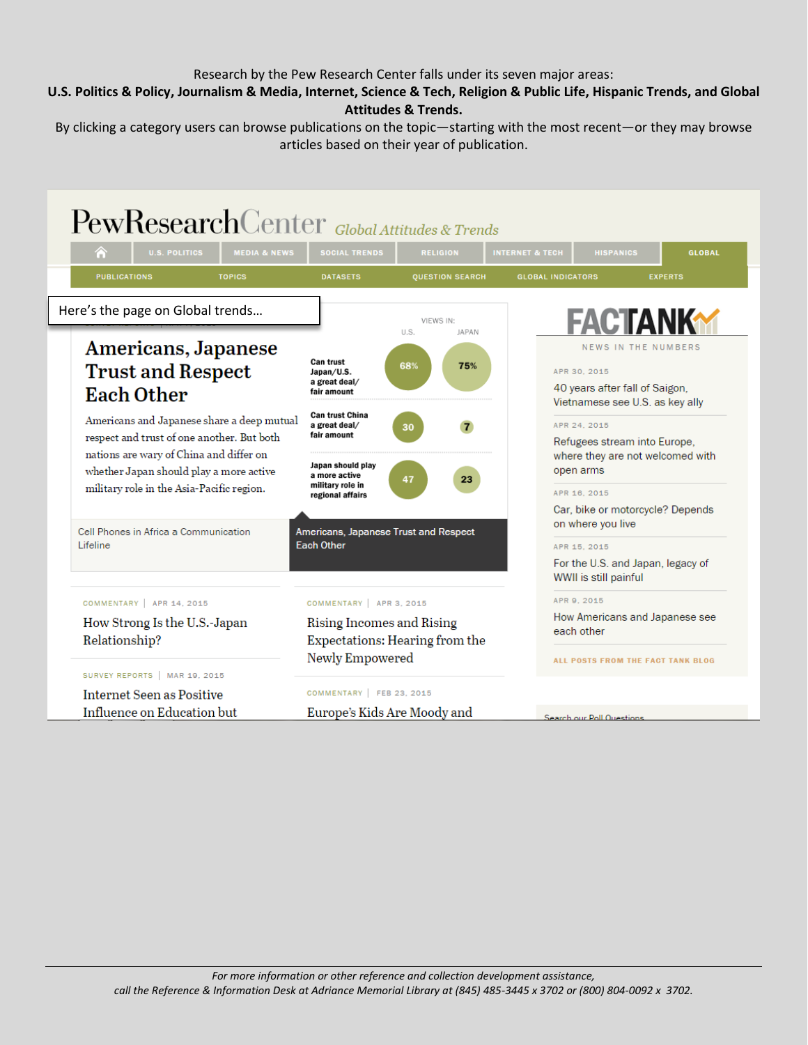### Research by the Pew Research Center falls under its seven major areas:

## **[U.S. Politics & Policy,](http://www.people-press.org/) [Journalism & Media,](http://www.journalism.org/) Internet, Science & Tech, [Religion & Public Life,](http://www.pewforum.org/) [Hispanic Trends,](http://www.pewhispanic.org/) and Global Attitudes & Trends.**

By clicking a category users can browse publications on the topic—starting with the most recent—or they may browse articles based on their year of publication.

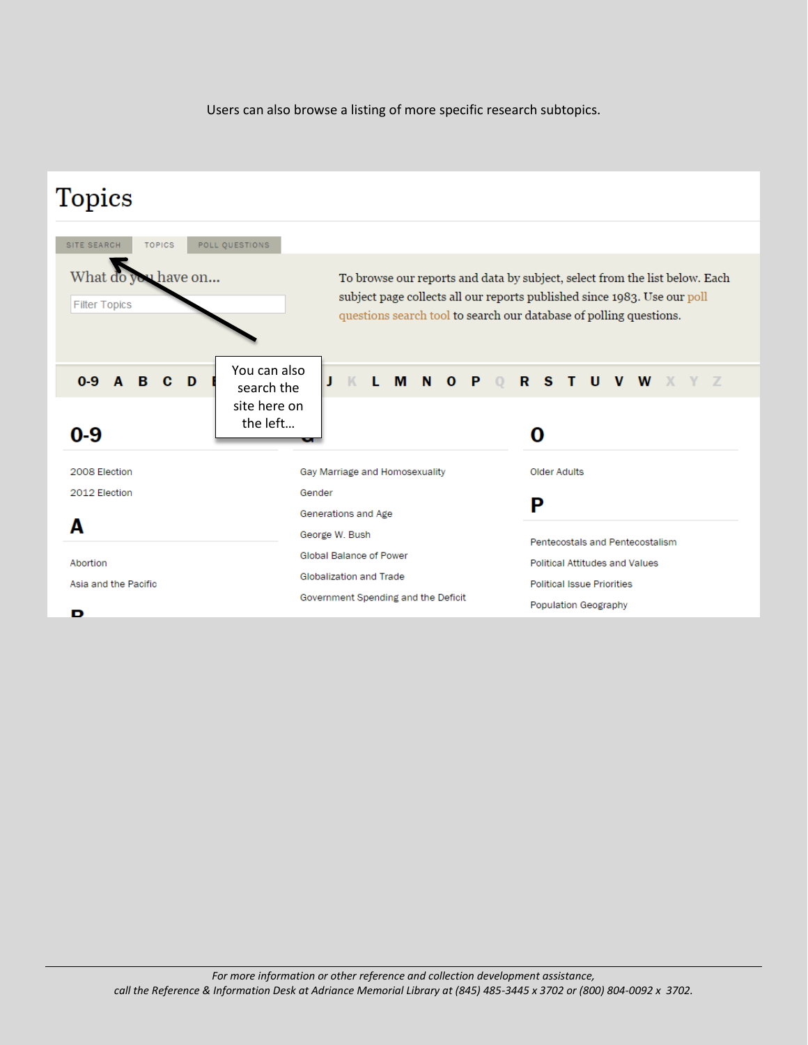Users can also browse a listing of more specific research subtopics.

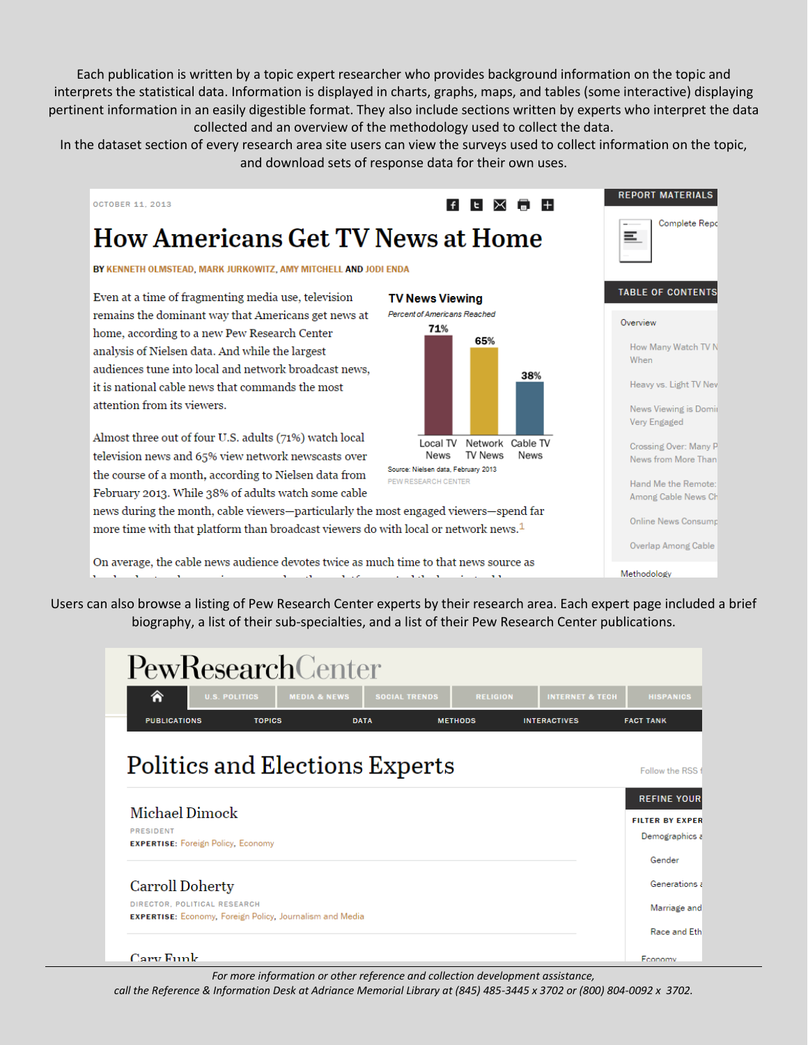Each publication is written by a topic expert researcher who provides background information on the topic and interprets the statistical data. Information is displayed in charts, graphs, maps, and tables (some interactive) displaying pertinent information in an easily digestible format. They also include sections written by experts who interpret the data collected and an overview of the methodology used to collect the data.

In the dataset section of every research area site users can view the surveys used to collect information on the topic, and download sets of response data for their own uses.



Users can also browse a listing of Pew Research Center experts by their research area. Each expert page included a brief biography, a list of their sub-specialties, and a list of their Pew Research Center publications.

| PewResearchCenter                                                                               |                      |                                                 |                 |                            |                                      |
|-------------------------------------------------------------------------------------------------|----------------------|-------------------------------------------------|-----------------|----------------------------|--------------------------------------|
| €                                                                                               | <b>U.S. POLITICS</b> | <b>MEDIA &amp; NEWS</b><br><b>SOCIAL TRENDS</b> | <b>RELIGION</b> | <b>INTERNET &amp; TECH</b> | <b>HISPANICS</b>                     |
| <b>PUBLICATIONS</b>                                                                             | <b>TOPICS</b>        | <b>DATA</b>                                     | <b>METHODS</b>  | <b>INTERACTIVES</b>        | <b>FACT TANK</b>                     |
| Politics and Elections Experts                                                                  |                      |                                                 |                 |                            | Follow the RSS<br><b>REFINE YOUR</b> |
| Michael Dimock                                                                                  |                      |                                                 |                 |                            | <b>FILTER BY EXPER</b>               |
| <b>PRESIDENT</b><br><b>EXPERTISE:</b> Foreign Policy, Economy                                   |                      |                                                 |                 |                            | Demographics a                       |
|                                                                                                 |                      |                                                 |                 |                            | Gender                               |
| <b>Carroll Doherty</b>                                                                          |                      |                                                 |                 |                            | Generations a                        |
| DIRECTOR, POLITICAL RESEARCH<br><b>EXPERTISE:</b> Economy, Foreign Policy, Journalism and Media |                      | Marriage and                                    |                 |                            |                                      |
|                                                                                                 |                      |                                                 |                 |                            | Race and Eth                         |
| Cary Funk                                                                                       |                      |                                                 |                 |                            | Fconomy                              |

*For more information or other reference and collection development assistance,* 

*call the Reference & Information Desk at Adriance Memorial Library at (845) 485-3445 x 3702 or (800) 804-0092 x 3702.*